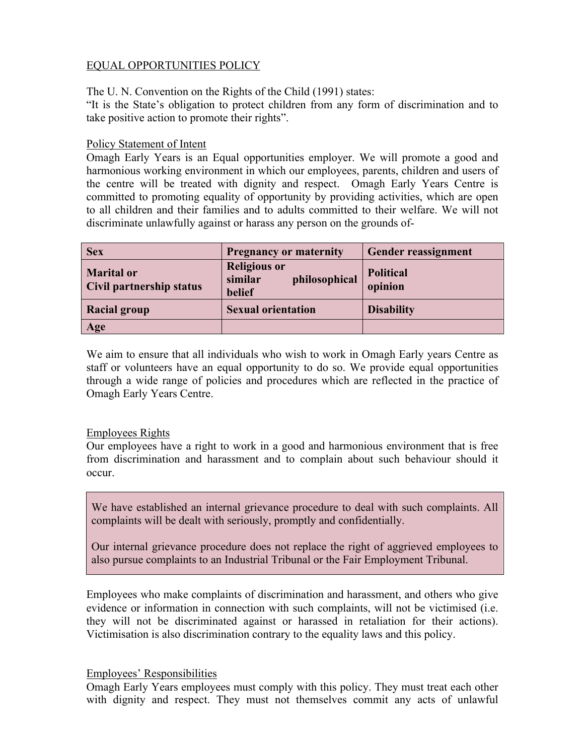# EQUAL OPPORTUNITIES POLICY

The U. N. Convention on the Rights of the Child (1991) states:

"It is the State's obligation to protect children from any form of discrimination and to take positive action to promote their rights".

### Policy Statement of Intent

Omagh Early Years is an Equal opportunities employer. We will promote a good and harmonious working environment in which our employees, parents, children and users of the centre will be treated with dignity and respect. Omagh Early Years Centre is committed to promoting equality of opportunity by providing activities, which are open to all children and their families and to adults committed to their welfare. We will not discriminate unlawfully against or harass any person on the grounds of-

| <b>Sex</b>                                    | <b>Pregnancy or maternity</b>                             | <b>Gender reassignment</b>  |
|-----------------------------------------------|-----------------------------------------------------------|-----------------------------|
| <b>Marital or</b><br>Civil partnership status | <b>Religious or</b><br>similar<br>philosophical<br>belief | <b>Political</b><br>opinion |
| <b>Racial group</b>                           | <b>Sexual orientation</b>                                 | <b>Disability</b>           |
| Age                                           |                                                           |                             |

We aim to ensure that all individuals who wish to work in Omagh Early years Centre as staff or volunteers have an equal opportunity to do so. We provide equal opportunities through a wide range of policies and procedures which are reflected in the practice of Omagh Early Years Centre.

# Employees Rights

Our employees have a right to work in a good and harmonious environment that is free from discrimination and harassment and to complain about such behaviour should it occur.

We have established an internal grievance procedure to deal with such complaints. All complaints will be dealt with seriously, promptly and confidentially.

Our internal grievance procedure does not replace the right of aggrieved employees to also pursue complaints to an Industrial Tribunal or the Fair Employment Tribunal.

Employees who make complaints of discrimination and harassment, and others who give evidence or information in connection with such complaints, will not be victimised (i.e. they will not be discriminated against or harassed in retaliation for their actions). Victimisation is also discrimination contrary to the equality laws and this policy.

# Employees' Responsibilities

Omagh Early Years employees must comply with this policy. They must treat each other with dignity and respect. They must not themselves commit any acts of unlawful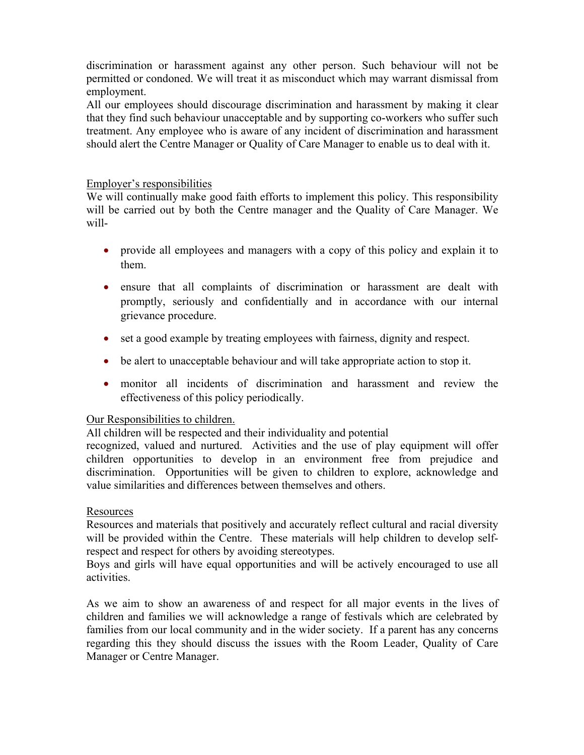discrimination or harassment against any other person. Such behaviour will not be permitted or condoned. We will treat it as misconduct which may warrant dismissal from employment.

All our employees should discourage discrimination and harassment by making it clear that they find such behaviour unacceptable and by supporting co-workers who suffer such treatment. Any employee who is aware of any incident of discrimination and harassment should alert the Centre Manager or Quality of Care Manager to enable us to deal with it.

### Employer's responsibilities

We will continually make good faith efforts to implement this policy. This responsibility will be carried out by both the Centre manager and the Quality of Care Manager. We will-

- provide all employees and managers with a copy of this policy and explain it to them.
- ensure that all complaints of discrimination or harassment are dealt with promptly, seriously and confidentially and in accordance with our internal grievance procedure.
- set a good example by treating employees with fairness, dignity and respect.
- be alert to unacceptable behaviour and will take appropriate action to stop it.
- monitor all incidents of discrimination and harassment and review the effectiveness of this policy periodically.

# Our Responsibilities to children.

All children will be respected and their individuality and potential

recognized, valued and nurtured. Activities and the use of play equipment will offer children opportunities to develop in an environment free from prejudice and discrimination. Opportunities will be given to children to explore, acknowledge and value similarities and differences between themselves and others.

#### Resources

Resources and materials that positively and accurately reflect cultural and racial diversity will be provided within the Centre. These materials will help children to develop selfrespect and respect for others by avoiding stereotypes.

Boys and girls will have equal opportunities and will be actively encouraged to use all activities.

As we aim to show an awareness of and respect for all major events in the lives of children and families we will acknowledge a range of festivals which are celebrated by families from our local community and in the wider society. If a parent has any concerns regarding this they should discuss the issues with the Room Leader, Quality of Care Manager or Centre Manager.